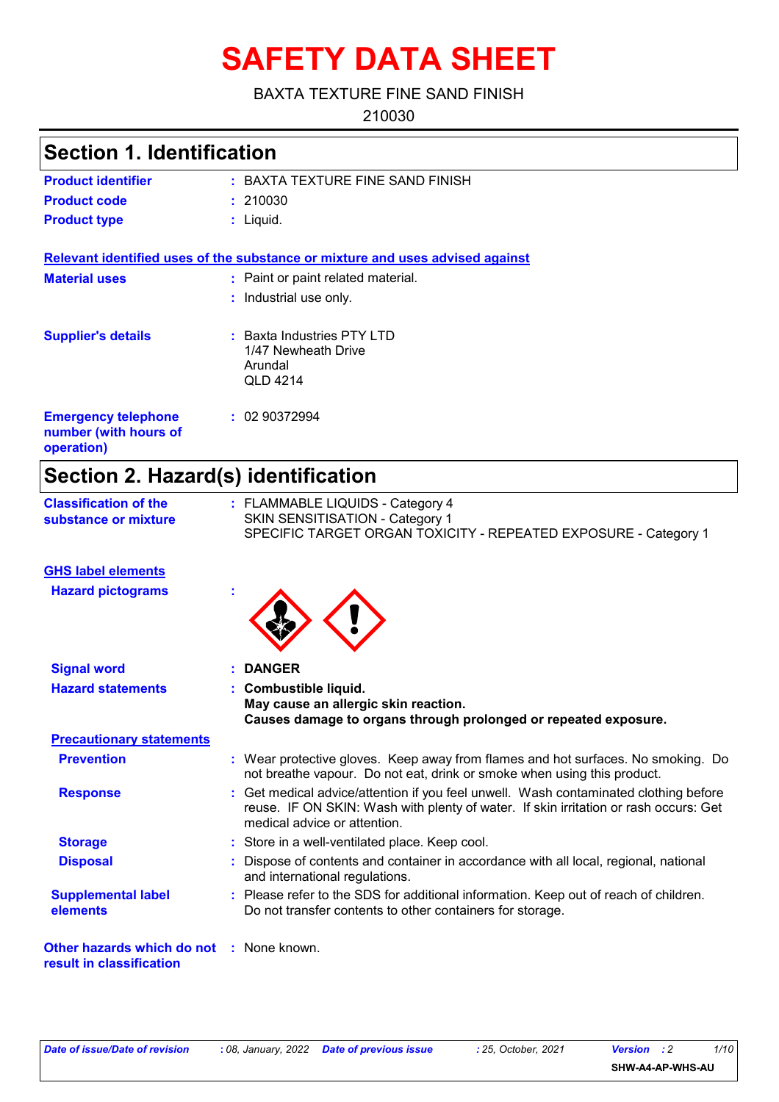# **SAFETY DATA SHEET**

#### BAXTA TEXTURE FINE SAND FINISH

210030

## **Section 1. Identification**

| <b>Product identifier</b> | : BAXTA TEXTURE FINE SAND FINISH |
|---------------------------|----------------------------------|
| <b>Product code</b>       | : 210030                         |
| <b>Product type</b>       | : Liauid.                        |

**Relevant identified uses of the substance or mixture and uses advised against**

| <b>Material uses</b>                                              | : Paint or paint related material.<br>: Industrial use only.               |
|-------------------------------------------------------------------|----------------------------------------------------------------------------|
| <b>Supplier's details</b>                                         | $:$ Baxta Industries PTY LTD<br>1/47 Newheath Drive<br>Arundal<br>QLD 4214 |
| <b>Emergency telephone</b><br>number (with hours of<br>operation) | : 0290372994                                                               |

## **Section 2. Hazard(s) identification**

| <b>Classification of the</b> | : FLAMMABLE LIQUIDS - Category 4                                |
|------------------------------|-----------------------------------------------------------------|
| substance or mixture         | SKIN SENSITISATION - Category 1                                 |
|                              | SPECIFIC TARGET ORGAN TOXICITY - REPEATED EXPOSURE - Category 1 |

#### **GHS label elements**

**Hazard pictograms :**



| <b>Signal word</b>                                                          |  | : DANGER                                                                                                                                                                                                     |  |
|-----------------------------------------------------------------------------|--|--------------------------------------------------------------------------------------------------------------------------------------------------------------------------------------------------------------|--|
| <b>Hazard statements</b>                                                    |  | : Combustible liquid.<br>May cause an allergic skin reaction.<br>Causes damage to organs through prolonged or repeated exposure.                                                                             |  |
| <b>Precautionary statements</b>                                             |  |                                                                                                                                                                                                              |  |
| <b>Prevention</b>                                                           |  | : Wear protective gloves. Keep away from flames and hot surfaces. No smoking. Do<br>not breathe vapour. Do not eat, drink or smoke when using this product.                                                  |  |
| <b>Response</b>                                                             |  | : Get medical advice/attention if you feel unwell. Wash contaminated clothing before<br>reuse. IF ON SKIN: Wash with plenty of water. If skin irritation or rash occurs: Get<br>medical advice or attention. |  |
| <b>Storage</b>                                                              |  | : Store in a well-ventilated place. Keep cool.                                                                                                                                                               |  |
| <b>Disposal</b>                                                             |  | : Dispose of contents and container in accordance with all local, regional, national<br>and international regulations.                                                                                       |  |
| <b>Supplemental label</b><br>elements                                       |  | : Please refer to the SDS for additional information. Keep out of reach of children.<br>Do not transfer contents to other containers for storage.                                                            |  |
| <b>Other hazards which do not : None known.</b><br>result in classification |  |                                                                                                                                                                                                              |  |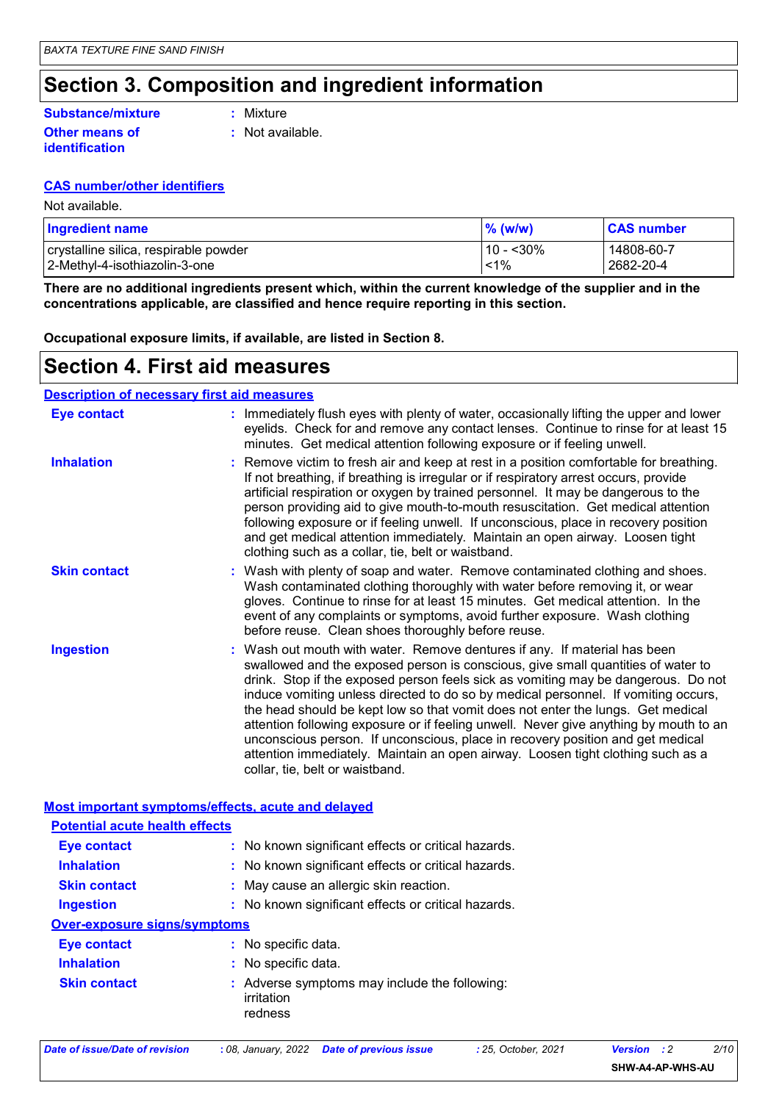### **Section 3. Composition and ingredient information**

#### **Substance/mixture**

**Other means of identification**

**:** Mixture

**:** Not available.

### **CAS number/other identifiers**

Not available.

| <b>Ingredient name</b>                | $%$ (w/w)   | <b>CAS number</b> |
|---------------------------------------|-------------|-------------------|
| crystalline silica, respirable powder | $10 - 30\%$ | 14808-60-7        |
| 2-Methyl-4-isothiazolin-3-one         | $1\%$       | 2682-20-4         |

**There are no additional ingredients present which, within the current knowledge of the supplier and in the concentrations applicable, are classified and hence require reporting in this section.**

**Occupational exposure limits, if available, are listed in Section 8.**

### **Section 4. First aid measures**

| <b>Description of necessary first aid measures</b> |                                                                                                                                                                                                                                                                                                                                                                                                                                                                                                                                                                                                                                                                                                                            |
|----------------------------------------------------|----------------------------------------------------------------------------------------------------------------------------------------------------------------------------------------------------------------------------------------------------------------------------------------------------------------------------------------------------------------------------------------------------------------------------------------------------------------------------------------------------------------------------------------------------------------------------------------------------------------------------------------------------------------------------------------------------------------------------|
| <b>Eye contact</b>                                 | : Immediately flush eyes with plenty of water, occasionally lifting the upper and lower<br>eyelids. Check for and remove any contact lenses. Continue to rinse for at least 15<br>minutes. Get medical attention following exposure or if feeling unwell.                                                                                                                                                                                                                                                                                                                                                                                                                                                                  |
| <b>Inhalation</b>                                  | Remove victim to fresh air and keep at rest in a position comfortable for breathing.<br>If not breathing, if breathing is irregular or if respiratory arrest occurs, provide<br>artificial respiration or oxygen by trained personnel. It may be dangerous to the<br>person providing aid to give mouth-to-mouth resuscitation. Get medical attention<br>following exposure or if feeling unwell. If unconscious, place in recovery position<br>and get medical attention immediately. Maintain an open airway. Loosen tight<br>clothing such as a collar, tie, belt or waistband.                                                                                                                                         |
| <b>Skin contact</b>                                | Wash with plenty of soap and water. Remove contaminated clothing and shoes.<br>Wash contaminated clothing thoroughly with water before removing it, or wear<br>gloves. Continue to rinse for at least 15 minutes. Get medical attention. In the<br>event of any complaints or symptoms, avoid further exposure. Wash clothing<br>before reuse. Clean shoes thoroughly before reuse.                                                                                                                                                                                                                                                                                                                                        |
| <b>Ingestion</b>                                   | Wash out mouth with water. Remove dentures if any. If material has been<br>swallowed and the exposed person is conscious, give small quantities of water to<br>drink. Stop if the exposed person feels sick as vomiting may be dangerous. Do not<br>induce vomiting unless directed to do so by medical personnel. If vomiting occurs,<br>the head should be kept low so that vomit does not enter the lungs. Get medical<br>attention following exposure or if feeling unwell. Never give anything by mouth to an<br>unconscious person. If unconscious, place in recovery position and get medical<br>attention immediately. Maintain an open airway. Loosen tight clothing such as a<br>collar, tie, belt or waistband. |
|                                                    | Most important symptoms/effects, acute and delayed                                                                                                                                                                                                                                                                                                                                                                                                                                                                                                                                                                                                                                                                         |
| <b>Potential acute health effects</b>              |                                                                                                                                                                                                                                                                                                                                                                                                                                                                                                                                                                                                                                                                                                                            |
| <b>Eye contact</b>                                 | : No known significant effects or critical hazards.                                                                                                                                                                                                                                                                                                                                                                                                                                                                                                                                                                                                                                                                        |
| <b>Inhalation</b>                                  | : No known significant effects or critical hazards.                                                                                                                                                                                                                                                                                                                                                                                                                                                                                                                                                                                                                                                                        |
| <b>Skin contact</b>                                | : May cause an allergic skin reaction.                                                                                                                                                                                                                                                                                                                                                                                                                                                                                                                                                                                                                                                                                     |
| <b>Ingestion</b>                                   | : No known significant effects or critical hazards.                                                                                                                                                                                                                                                                                                                                                                                                                                                                                                                                                                                                                                                                        |
| <b>Over-exposure signs/symptoms</b>                |                                                                                                                                                                                                                                                                                                                                                                                                                                                                                                                                                                                                                                                                                                                            |
| <b>Eye contact</b>                                 | : No specific data.                                                                                                                                                                                                                                                                                                                                                                                                                                                                                                                                                                                                                                                                                                        |
| المتماز فالمستقط والمتراز                          | . Na annaille deta                                                                                                                                                                                                                                                                                                                                                                                                                                                                                                                                                                                                                                                                                                         |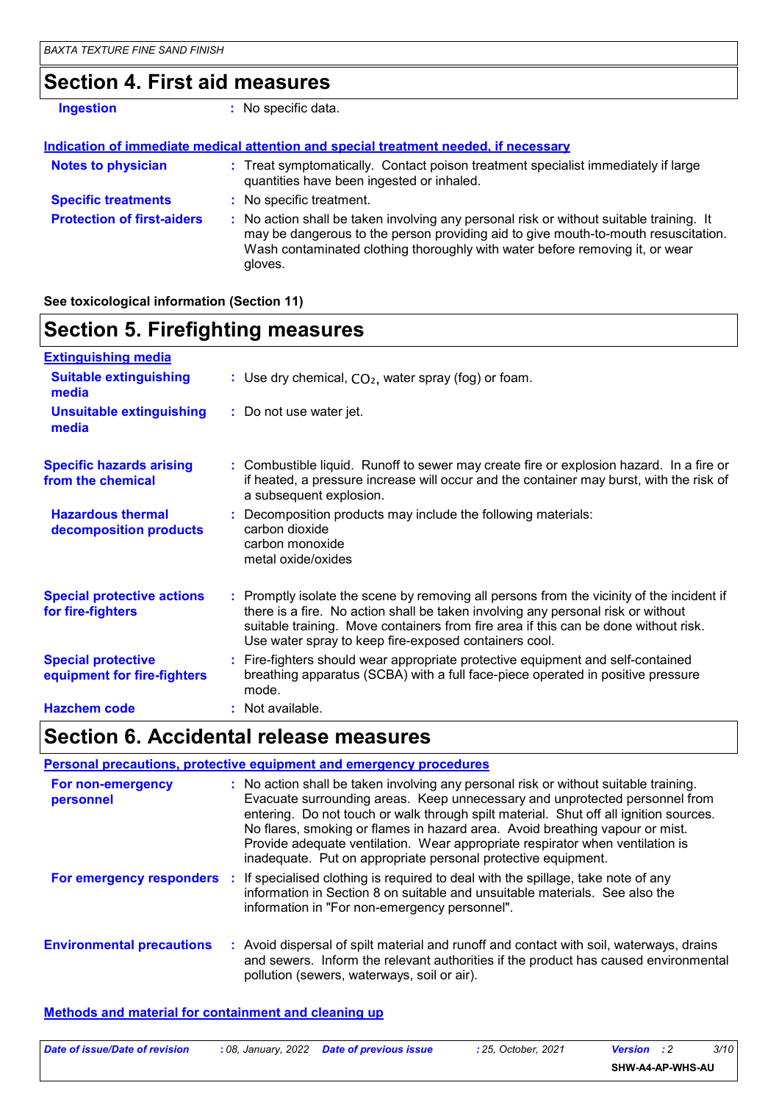### **Section 4. First aid measures**

| <b>Ingestion</b>                  | : No specific data.                                                                                                                                                                                                                                                      |
|-----------------------------------|--------------------------------------------------------------------------------------------------------------------------------------------------------------------------------------------------------------------------------------------------------------------------|
|                                   | Indication of immediate medical attention and special treatment needed, if necessary                                                                                                                                                                                     |
| <b>Notes to physician</b>         | : Treat symptomatically. Contact poison treatment specialist immediately if large<br>quantities have been ingested or inhaled.                                                                                                                                           |
| <b>Specific treatments</b>        | : No specific treatment.                                                                                                                                                                                                                                                 |
| <b>Protection of first-aiders</b> | : No action shall be taken involving any personal risk or without suitable training. It<br>may be dangerous to the person providing aid to give mouth-to-mouth resuscitation.<br>Wash contaminated clothing thoroughly with water before removing it, or wear<br>gloves. |

**See toxicological information (Section 11)**

### **Section 5. Firefighting measures**

| <b>Extinguishing media</b>                               |                                                                                                                                                                                                                                                                                                                               |
|----------------------------------------------------------|-------------------------------------------------------------------------------------------------------------------------------------------------------------------------------------------------------------------------------------------------------------------------------------------------------------------------------|
| <b>Suitable extinguishing</b><br>media                   | : Use dry chemical, $CO2$ , water spray (fog) or foam.                                                                                                                                                                                                                                                                        |
| <b>Unsuitable extinguishing</b><br>media                 | : Do not use water jet.                                                                                                                                                                                                                                                                                                       |
| <b>Specific hazards arising</b><br>from the chemical     | : Combustible liquid. Runoff to sewer may create fire or explosion hazard. In a fire or<br>if heated, a pressure increase will occur and the container may burst, with the risk of<br>a subsequent explosion.                                                                                                                 |
| <b>Hazardous thermal</b><br>decomposition products       | : Decomposition products may include the following materials:<br>carbon dioxide<br>carbon monoxide<br>metal oxide/oxides                                                                                                                                                                                                      |
| <b>Special protective actions</b><br>for fire-fighters   | : Promptly isolate the scene by removing all persons from the vicinity of the incident if<br>there is a fire. No action shall be taken involving any personal risk or without<br>suitable training. Move containers from fire area if this can be done without risk.<br>Use water spray to keep fire-exposed containers cool. |
| <b>Special protective</b><br>equipment for fire-fighters | : Fire-fighters should wear appropriate protective equipment and self-contained<br>breathing apparatus (SCBA) with a full face-piece operated in positive pressure<br>mode.                                                                                                                                                   |
| <b>Hazchem code</b>                                      | : Not available.                                                                                                                                                                                                                                                                                                              |

### **Section 6. Accidental release measures**

|                                  | Personal precautions, protective equipment and emergency procedures                                                                                                                                                                                                                                                                                                                                                                                                                            |
|----------------------------------|------------------------------------------------------------------------------------------------------------------------------------------------------------------------------------------------------------------------------------------------------------------------------------------------------------------------------------------------------------------------------------------------------------------------------------------------------------------------------------------------|
| For non-emergency<br>personnel   | : No action shall be taken involving any personal risk or without suitable training.<br>Evacuate surrounding areas. Keep unnecessary and unprotected personnel from<br>entering. Do not touch or walk through spilt material. Shut off all ignition sources.<br>No flares, smoking or flames in hazard area. Avoid breathing vapour or mist.<br>Provide adequate ventilation. Wear appropriate respirator when ventilation is<br>inadequate. Put on appropriate personal protective equipment. |
|                                  | For emergency responders : If specialised clothing is required to deal with the spillage, take note of any<br>information in Section 8 on suitable and unsuitable materials. See also the<br>information in "For non-emergency personnel".                                                                                                                                                                                                                                                     |
| <b>Environmental precautions</b> | : Avoid dispersal of spilt material and runoff and contact with soil, waterways, drains<br>and sewers. Inform the relevant authorities if the product has caused environmental<br>pollution (sewers, waterways, soil or air).                                                                                                                                                                                                                                                                  |

#### **Methods and material for containment and cleaning up**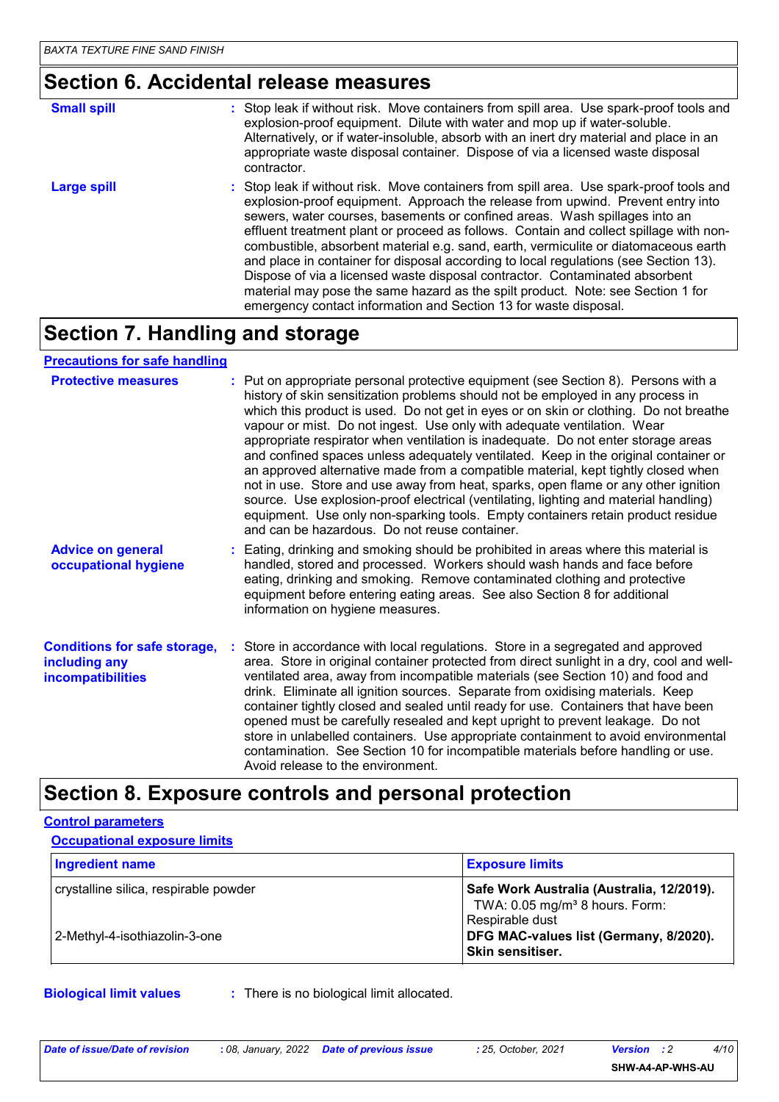## **Section 6. Accidental release measures**

| <b>Small spill</b> | : Stop leak if without risk. Move containers from spill area. Use spark-proof tools and                                                                                                                                                                                                                                                                                                                                                                                                                                                                                                                                                                                                                                                                                 |
|--------------------|-------------------------------------------------------------------------------------------------------------------------------------------------------------------------------------------------------------------------------------------------------------------------------------------------------------------------------------------------------------------------------------------------------------------------------------------------------------------------------------------------------------------------------------------------------------------------------------------------------------------------------------------------------------------------------------------------------------------------------------------------------------------------|
|                    | explosion-proof equipment. Dilute with water and mop up if water-soluble.<br>Alternatively, or if water-insoluble, absorb with an inert dry material and place in an<br>appropriate waste disposal container. Dispose of via a licensed waste disposal<br>contractor.                                                                                                                                                                                                                                                                                                                                                                                                                                                                                                   |
| <b>Large spill</b> | : Stop leak if without risk. Move containers from spill area. Use spark-proof tools and<br>explosion-proof equipment. Approach the release from upwind. Prevent entry into<br>sewers, water courses, basements or confined areas. Wash spillages into an<br>effluent treatment plant or proceed as follows. Contain and collect spillage with non-<br>combustible, absorbent material e.g. sand, earth, vermiculite or diatomaceous earth<br>and place in container for disposal according to local regulations (see Section 13).<br>Dispose of via a licensed waste disposal contractor. Contaminated absorbent<br>material may pose the same hazard as the spilt product. Note: see Section 1 for<br>emergency contact information and Section 13 for waste disposal. |

### **Section 7. Handling and storage**

#### **Precautions for safe handling**

| <b>Protective measures</b>                                                       | : Put on appropriate personal protective equipment (see Section 8). Persons with a<br>history of skin sensitization problems should not be employed in any process in<br>which this product is used. Do not get in eyes or on skin or clothing. Do not breathe<br>vapour or mist. Do not ingest. Use only with adequate ventilation. Wear<br>appropriate respirator when ventilation is inadequate. Do not enter storage areas<br>and confined spaces unless adequately ventilated. Keep in the original container or<br>an approved alternative made from a compatible material, kept tightly closed when<br>not in use. Store and use away from heat, sparks, open flame or any other ignition<br>source. Use explosion-proof electrical (ventilating, lighting and material handling)<br>equipment. Use only non-sparking tools. Empty containers retain product residue<br>and can be hazardous. Do not reuse container. |
|----------------------------------------------------------------------------------|------------------------------------------------------------------------------------------------------------------------------------------------------------------------------------------------------------------------------------------------------------------------------------------------------------------------------------------------------------------------------------------------------------------------------------------------------------------------------------------------------------------------------------------------------------------------------------------------------------------------------------------------------------------------------------------------------------------------------------------------------------------------------------------------------------------------------------------------------------------------------------------------------------------------------|
| <b>Advice on general</b><br>occupational hygiene                                 | : Eating, drinking and smoking should be prohibited in areas where this material is<br>handled, stored and processed. Workers should wash hands and face before<br>eating, drinking and smoking. Remove contaminated clothing and protective<br>equipment before entering eating areas. See also Section 8 for additional<br>information on hygiene measures.                                                                                                                                                                                                                                                                                                                                                                                                                                                                                                                                                                |
| <b>Conditions for safe storage,</b><br>including any<br><b>incompatibilities</b> | : Store in accordance with local regulations. Store in a segregated and approved<br>area. Store in original container protected from direct sunlight in a dry, cool and well-<br>ventilated area, away from incompatible materials (see Section 10) and food and<br>drink. Eliminate all ignition sources. Separate from oxidising materials. Keep<br>container tightly closed and sealed until ready for use. Containers that have been<br>opened must be carefully resealed and kept upright to prevent leakage. Do not<br>store in unlabelled containers. Use appropriate containment to avoid environmental<br>contamination. See Section 10 for incompatible materials before handling or use.<br>Avoid release to the environment.                                                                                                                                                                                     |

### **Section 8. Exposure controls and personal protection**

# **Control parameters Occupational exposure limits**

| <b>Ingredient name</b>                | <b>Exposure limits</b>                                                                    |
|---------------------------------------|-------------------------------------------------------------------------------------------|
| crystalline silica, respirable powder | Safe Work Australia (Australia, 12/2019).<br>TWA: $0.05$ mg/m <sup>3</sup> 8 hours. Form: |
| 2-Methyl-4-isothiazolin-3-one         | Respirable dust<br>DFG MAC-values list (Germany, 8/2020).<br><b>Skin sensitiser.</b>      |

**Biological limit values :** There is no biological limit allocated.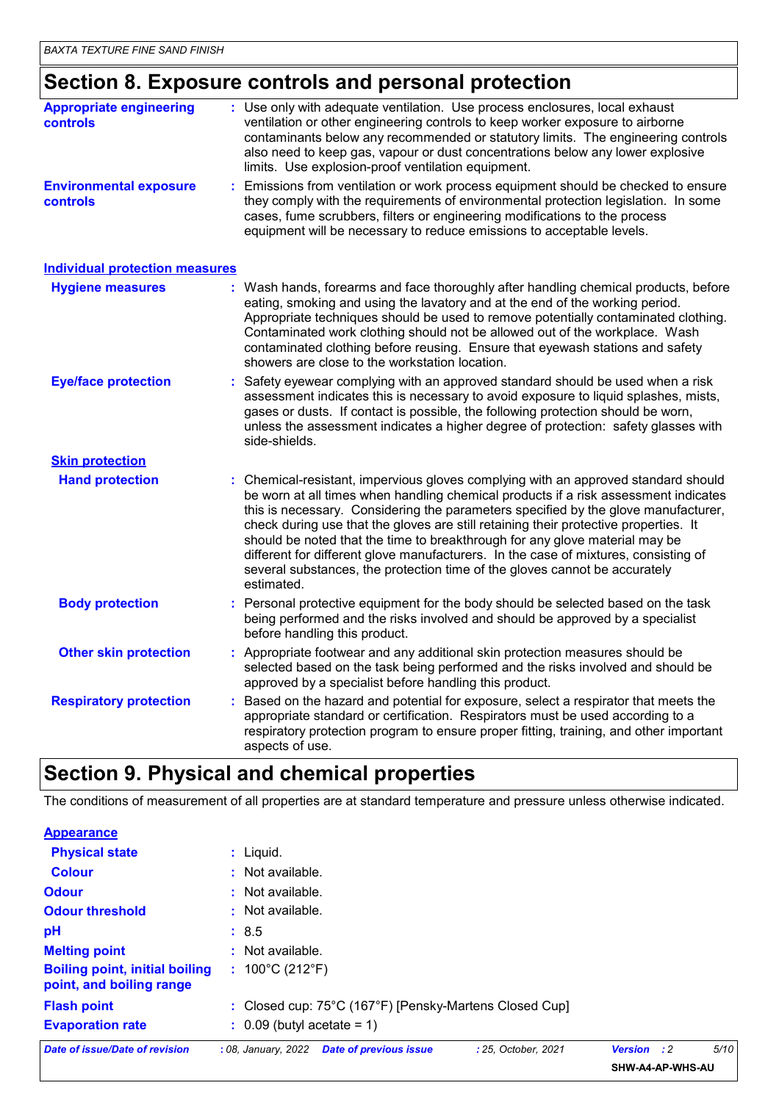# **Section 8. Exposure controls and personal protection**

| <b>Appropriate engineering</b><br><b>controls</b> | : Use only with adequate ventilation. Use process enclosures, local exhaust<br>ventilation or other engineering controls to keep worker exposure to airborne<br>contaminants below any recommended or statutory limits. The engineering controls<br>also need to keep gas, vapour or dust concentrations below any lower explosive<br>limits. Use explosion-proof ventilation equipment.                                                                                                                                                                                                                                  |
|---------------------------------------------------|---------------------------------------------------------------------------------------------------------------------------------------------------------------------------------------------------------------------------------------------------------------------------------------------------------------------------------------------------------------------------------------------------------------------------------------------------------------------------------------------------------------------------------------------------------------------------------------------------------------------------|
| <b>Environmental exposure</b><br><b>controls</b>  | Emissions from ventilation or work process equipment should be checked to ensure<br>they comply with the requirements of environmental protection legislation. In some<br>cases, fume scrubbers, filters or engineering modifications to the process<br>equipment will be necessary to reduce emissions to acceptable levels.                                                                                                                                                                                                                                                                                             |
| <b>Individual protection measures</b>             |                                                                                                                                                                                                                                                                                                                                                                                                                                                                                                                                                                                                                           |
| <b>Hygiene measures</b>                           | : Wash hands, forearms and face thoroughly after handling chemical products, before<br>eating, smoking and using the lavatory and at the end of the working period.<br>Appropriate techniques should be used to remove potentially contaminated clothing.<br>Contaminated work clothing should not be allowed out of the workplace. Wash<br>contaminated clothing before reusing. Ensure that eyewash stations and safety<br>showers are close to the workstation location.                                                                                                                                               |
| <b>Eye/face protection</b>                        | Safety eyewear complying with an approved standard should be used when a risk<br>assessment indicates this is necessary to avoid exposure to liquid splashes, mists,<br>gases or dusts. If contact is possible, the following protection should be worn,<br>unless the assessment indicates a higher degree of protection: safety glasses with<br>side-shields.                                                                                                                                                                                                                                                           |
| <b>Skin protection</b>                            |                                                                                                                                                                                                                                                                                                                                                                                                                                                                                                                                                                                                                           |
| <b>Hand protection</b>                            | : Chemical-resistant, impervious gloves complying with an approved standard should<br>be worn at all times when handling chemical products if a risk assessment indicates<br>this is necessary. Considering the parameters specified by the glove manufacturer,<br>check during use that the gloves are still retaining their protective properties. It<br>should be noted that the time to breakthrough for any glove material may be<br>different for different glove manufacturers. In the case of mixtures, consisting of<br>several substances, the protection time of the gloves cannot be accurately<br>estimated. |
| <b>Body protection</b>                            | Personal protective equipment for the body should be selected based on the task<br>being performed and the risks involved and should be approved by a specialist<br>before handling this product.                                                                                                                                                                                                                                                                                                                                                                                                                         |
| <b>Other skin protection</b>                      | : Appropriate footwear and any additional skin protection measures should be<br>selected based on the task being performed and the risks involved and should be<br>approved by a specialist before handling this product.                                                                                                                                                                                                                                                                                                                                                                                                 |
| <b>Respiratory protection</b>                     | : Based on the hazard and potential for exposure, select a respirator that meets the<br>appropriate standard or certification. Respirators must be used according to a<br>respiratory protection program to ensure proper fitting, training, and other important<br>aspects of use.                                                                                                                                                                                                                                                                                                                                       |

### **Section 9. Physical and chemical properties**

The conditions of measurement of all properties are at standard temperature and pressure unless otherwise indicated.

| <b>Appearance</b>                                                 |                                                                             |                              |      |
|-------------------------------------------------------------------|-----------------------------------------------------------------------------|------------------------------|------|
| <b>Physical state</b>                                             | $:$ Liquid.                                                                 |                              |      |
| <b>Colour</b>                                                     | Not available.<br>÷                                                         |                              |      |
| <b>Odour</b>                                                      | Not available.                                                              |                              |      |
| <b>Odour threshold</b>                                            | Not available.                                                              |                              |      |
| pH                                                                | : 8.5                                                                       |                              |      |
| <b>Melting point</b>                                              | Not available.                                                              |                              |      |
| <b>Boiling point, initial boiling</b><br>point, and boiling range | 100°C (212°F)<br>÷                                                          |                              |      |
| <b>Flash point</b>                                                | : Closed cup: 75°C (167°F) [Pensky-Martens Closed Cup]                      |                              |      |
| <b>Evaporation rate</b>                                           | $\therefore$ 0.09 (butyl acetate = 1)                                       |                              |      |
| <b>Date of issue/Date of revision</b>                             | : 08, January, 2022<br><b>Date of previous issue</b><br>: 25. October. 2021 | $\cdot$ :2<br><b>Version</b> | 5/10 |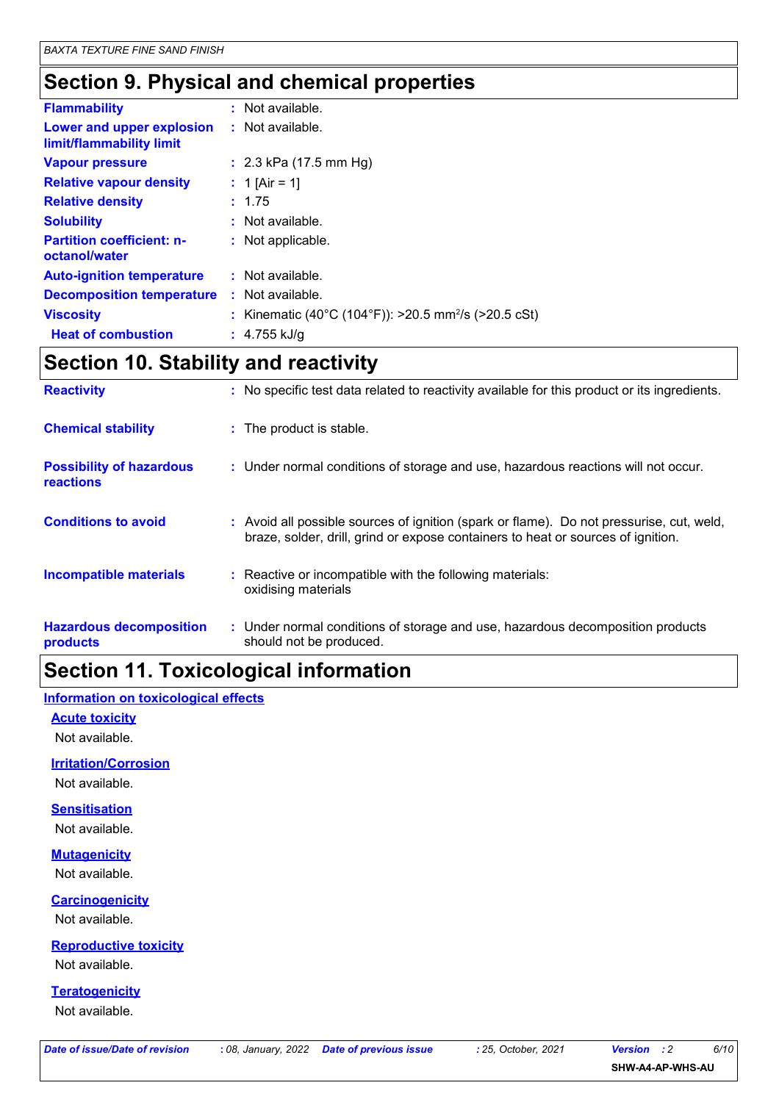### **Section 9. Physical and chemical properties**

| <b>Flammability</b>                                   | : Not available.                                                 |
|-------------------------------------------------------|------------------------------------------------------------------|
| Lower and upper explosion<br>limit/flammability limit | : Not available.                                                 |
| <b>Vapour pressure</b>                                | : 2.3 kPa (17.5 mm Hg)                                           |
| <b>Relative vapour density</b>                        | : 1 [Air = 1]                                                    |
| <b>Relative density</b>                               | : 1.75                                                           |
| <b>Solubility</b>                                     | : Not available.                                                 |
| <b>Partition coefficient: n-</b><br>octanol/water     | : Not applicable.                                                |
| <b>Auto-ignition temperature</b>                      | : Not available.                                                 |
| <b>Decomposition temperature</b>                      | $\therefore$ Not available.                                      |
| <b>Viscosity</b>                                      | : Kinematic (40°C (104°F)): >20.5 mm <sup>2</sup> /s (>20.5 cSt) |
| <b>Heat of combustion</b>                             | : $4.755$ kJ/g                                                   |

### **Section 10. Stability and reactivity**

| <b>Reactivity</b>                            | : No specific test data related to reactivity available for this product or its ingredients.                                                                                 |
|----------------------------------------------|------------------------------------------------------------------------------------------------------------------------------------------------------------------------------|
| <b>Chemical stability</b>                    | : The product is stable.                                                                                                                                                     |
| <b>Possibility of hazardous</b><br>reactions | : Under normal conditions of storage and use, hazardous reactions will not occur.                                                                                            |
| <b>Conditions to avoid</b>                   | : Avoid all possible sources of ignition (spark or flame). Do not pressurise, cut, weld,<br>braze, solder, drill, grind or expose containers to heat or sources of ignition. |
| <b>Incompatible materials</b>                | : Reactive or incompatible with the following materials:<br>oxidising materials                                                                                              |
| <b>Hazardous decomposition</b><br>products   | : Under normal conditions of storage and use, hazardous decomposition products<br>should not be produced.                                                                    |

# **Section 11. Toxicological information**

### **Information on toxicological effects**

#### **Acute toxicity**

Not available.

#### **Irritation/Corrosion**

Not available.

#### **Sensitisation**

Not available.

#### **Mutagenicity**

Not available.

### **Carcinogenicity**

Not available.

### **Reproductive toxicity**

Not available.

#### **Teratogenicity**

Not available.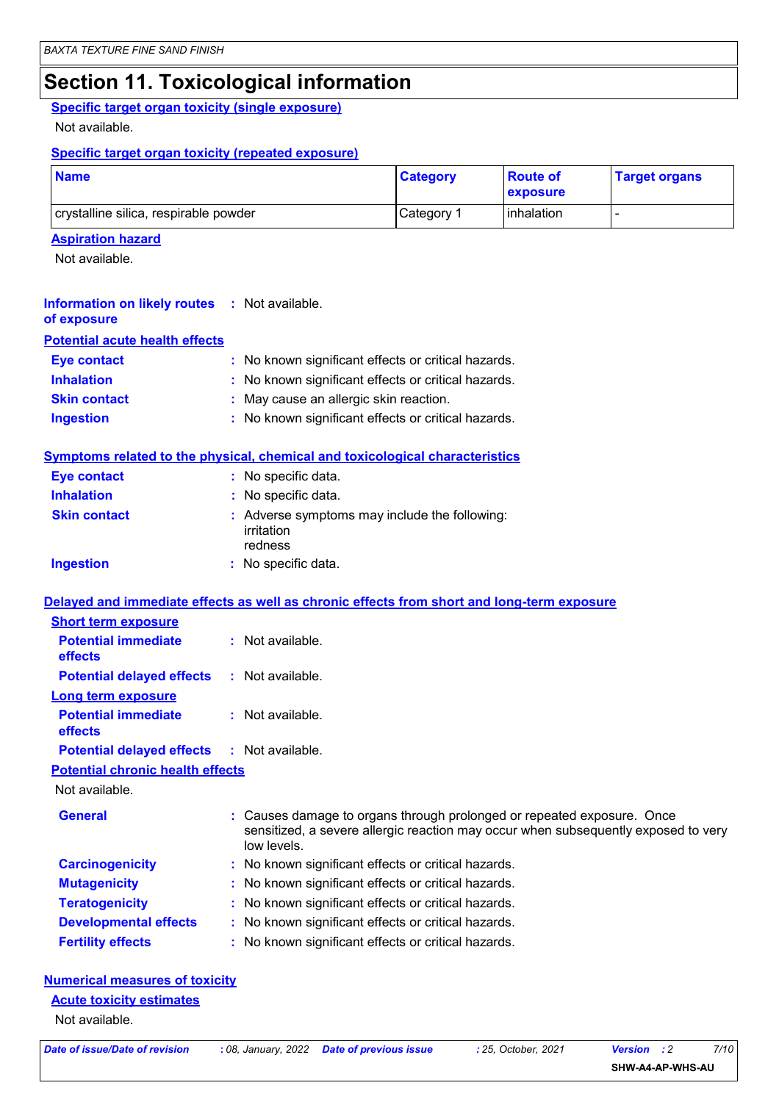### **Section 11. Toxicological information**

### **Specific target organ toxicity (single exposure)**

Not available.

#### **Specific target organ toxicity (repeated exposure)**

| <b>Name</b>                           | <b>Category</b> | <b>Route of</b><br>exposure | <b>Target organs</b> |
|---------------------------------------|-----------------|-----------------------------|----------------------|
| crystalline silica, respirable powder | Category 1      | linhalation                 |                      |

#### **Aspiration hazard**

Not available.

| <b>Information on likely routes : Not available.</b><br>of exposure |                                                     |
|---------------------------------------------------------------------|-----------------------------------------------------|
| <b>Potential acute health effects</b>                               |                                                     |
| <b>Eye contact</b>                                                  | : No known significant effects or critical hazards. |
| <b>Inhalation</b>                                                   | : No known significant effects or critical hazards. |
| <b>Skin contact</b>                                                 | : May cause an allergic skin reaction.              |
| <b>Ingestion</b>                                                    | : No known significant effects or critical hazards. |
|                                                                     |                                                     |

#### **Symptoms related to the physical, chemical and toxicological characteristics**

| <b>Eye contact</b>  | : No specific data.                                                    |
|---------------------|------------------------------------------------------------------------|
| <b>Inhalation</b>   | : No specific data.                                                    |
| <b>Skin contact</b> | : Adverse symptoms may include the following:<br>irritation<br>redness |
| <b>Ingestion</b>    | : No specific data.                                                    |

### **Delayed and immediate effects as well as chronic effects from short and long-term exposure**

| <b>Short term exposure</b>            |                    |  |
|---------------------------------------|--------------------|--|
| <b>Potential immediate</b><br>effects | $:$ Not available. |  |
| <b>Potential delayed effects</b>      | : Not available.   |  |
| <b>Long term exposure</b>             |                    |  |
| <b>Potential immediate</b><br>effects | $:$ Not available. |  |
| <b>Potential delayed effects</b>      | : Not available.   |  |
|                                       |                    |  |

#### **Potential chronic health effects**

Not available.

| <b>General</b>               | : Causes damage to organs through prolonged or repeated exposure. Once<br>sensitized, a severe allergic reaction may occur when subsequently exposed to very<br>low levels. |
|------------------------------|-----------------------------------------------------------------------------------------------------------------------------------------------------------------------------|
| <b>Carcinogenicity</b>       | : No known significant effects or critical hazards.                                                                                                                         |
| <b>Mutagenicity</b>          | : No known significant effects or critical hazards.                                                                                                                         |
| <b>Teratogenicity</b>        | : No known significant effects or critical hazards.                                                                                                                         |
| <b>Developmental effects</b> | : No known significant effects or critical hazards.                                                                                                                         |
| <b>Fertility effects</b>     | : No known significant effects or critical hazards.                                                                                                                         |

### **Numerical measures of toxicity**

### **Acute toxicity estimates**

Not available.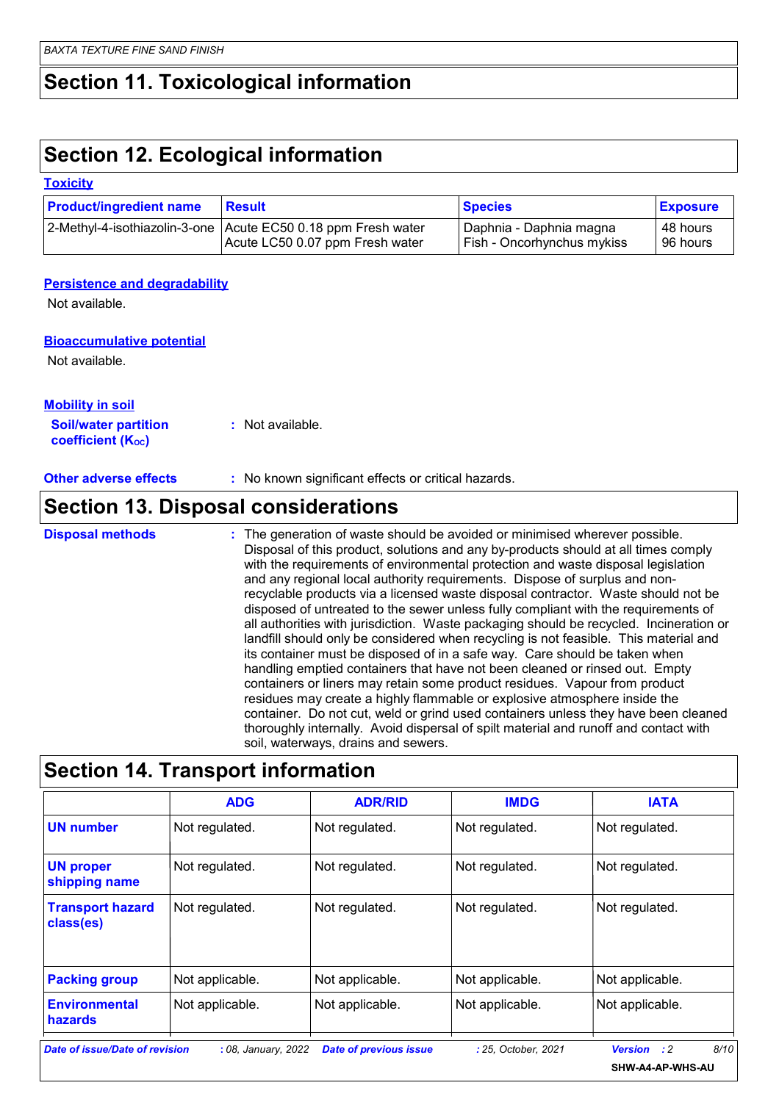### **Section 11. Toxicological information**

### **Section 12. Ecological information**

#### **Toxicity**

| <b>Product/ingredient name</b> | <b>Result</b>                                                   | <b>Species</b>                    | <b>Exposure</b> |
|--------------------------------|-----------------------------------------------------------------|-----------------------------------|-----------------|
|                                | 2-Methyl-4-isothiazolin-3-one   Acute EC50 0.18 ppm Fresh water | Daphnia - Daphnia magna           | ∣ 48 hours      |
|                                | Acute LC50 0.07 ppm Fresh water                                 | <b>Fish - Oncorhynchus mykiss</b> | 96 hours        |

#### **Persistence and degradability**

Not available.

#### **Bioaccumulative potential**

Not available.

| <b>Mobility in soil</b>     |                  |
|-----------------------------|------------------|
| <b>Soil/water partition</b> | : Not available. |
| <b>coefficient (Koc)</b>    |                  |

**Other adverse effects** : No known significant effects or critical hazards.

### **Section 13. Disposal considerations**

The generation of waste should be avoided or minimised wherever possible. Disposal of this product, solutions and any by-products should at all times comply with the requirements of environmental protection and waste disposal legislation and any regional local authority requirements. Dispose of surplus and nonrecyclable products via a licensed waste disposal contractor. Waste should not be disposed of untreated to the sewer unless fully compliant with the requirements of all authorities with jurisdiction. Waste packaging should be recycled. Incineration or landfill should only be considered when recycling is not feasible. This material and its container must be disposed of in a safe way. Care should be taken when handling emptied containers that have not been cleaned or rinsed out. Empty containers or liners may retain some product residues. Vapour from product residues may create a highly flammable or explosive atmosphere inside the container. Do not cut, weld or grind used containers unless they have been cleaned thoroughly internally. Avoid dispersal of spilt material and runoff and contact with soil, waterways, drains and sewers. **Disposal methods :**

|                                        | <b>ADG</b>      | <b>ADR/RID</b>  | <b>IMDG</b>     | <b>IATA</b>     |
|----------------------------------------|-----------------|-----------------|-----------------|-----------------|
| <b>UN number</b>                       | Not regulated.  | Not regulated.  | Not regulated.  | Not regulated.  |
| <b>UN proper</b><br>shipping name      | Not regulated.  | Not regulated.  | Not regulated.  | Not regulated.  |
| <b>Transport hazard</b><br>class(es)   | Not regulated.  | Not regulated.  | Not regulated.  | Not regulated.  |
| <b>Packing group</b>                   | Not applicable. | Not applicable. | Not applicable. | Not applicable. |
| <b>Environmental</b><br><b>hazards</b> | Not applicable. | Not applicable. | Not applicable. | Not applicable. |

### **Section 14. Transport information**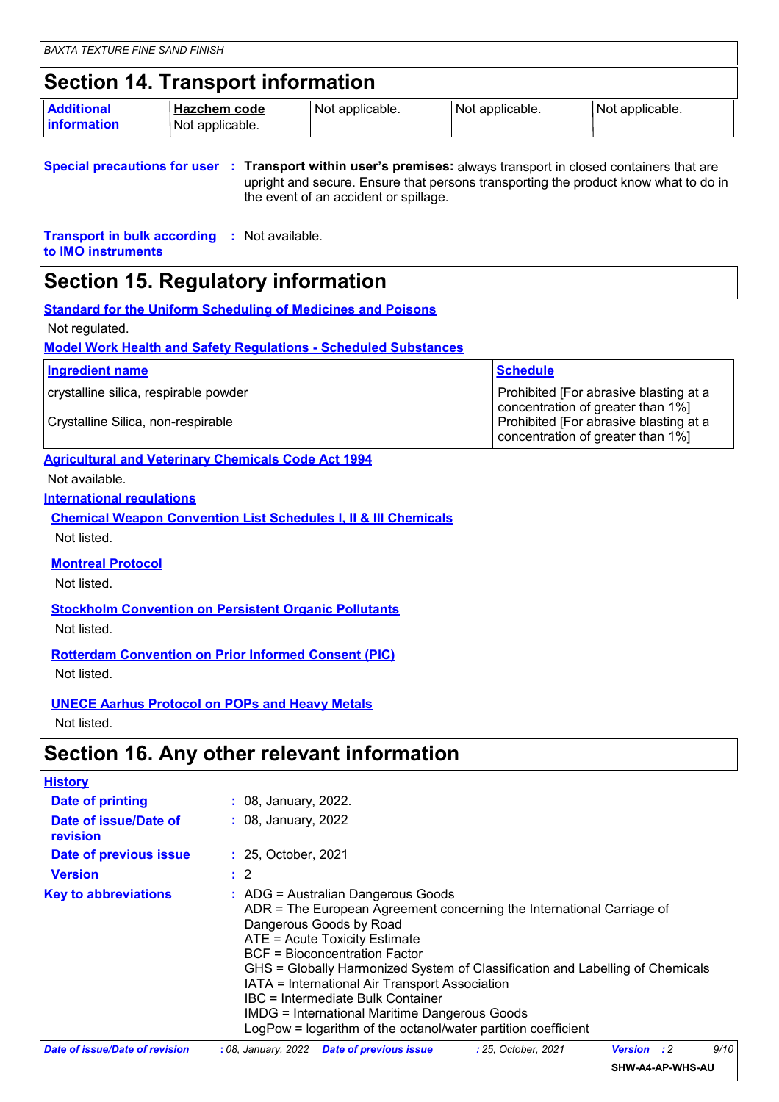### **Section 14. Transport information**

| <b>Additional</b><br><b>linformation</b> | ∣ Hazchem code  | I Not applicable. | I Not applicable. | Not applicable. |
|------------------------------------------|-----------------|-------------------|-------------------|-----------------|
|                                          | Not applicable. |                   |                   |                 |

**Special precautions for user Transport within user's premises:** always transport in closed containers that are **:** upright and secure. Ensure that persons transporting the product know what to do in the event of an accident or spillage.

**Transport in bulk according :** Not available. **to IMO instruments**

### **Section 15. Regulatory information**

**Standard for the Uniform Scheduling of Medicines and Poisons**

Not regulated.

#### **Model Work Health and Safety Regulations - Scheduled Substances**

| Ingredient name                       | Schedule                                                                    |
|---------------------------------------|-----------------------------------------------------------------------------|
| crystalline silica, respirable powder | Prohibited [For abrasive blasting at a<br>concentration of greater than 1%] |
| Crystalline Silica, non-respirable    | Prohibited [For abrasive blasting at a<br>concentration of greater than 1%] |

#### **Agricultural and Veterinary Chemicals Code Act 1994**

Not available.

**International regulations**

**Chemical Weapon Convention List Schedules I, II & III Chemicals** Not listed.

**Montreal Protocol**

Not listed.

**Stockholm Convention on Persistent Organic Pollutants**

Not listed.

#### **Rotterdam Convention on Prior Informed Consent (PIC)**

Not listed.

### **UNECE Aarhus Protocol on POPs and Heavy Metals**

Not listed.

### **Section 16. Any other relevant information**

| <b>History</b>                    |                                                                                                                                                                                                                                                                                                                                                                                                                                                                                                                    |  |
|-----------------------------------|--------------------------------------------------------------------------------------------------------------------------------------------------------------------------------------------------------------------------------------------------------------------------------------------------------------------------------------------------------------------------------------------------------------------------------------------------------------------------------------------------------------------|--|
| Date of printing                  | : 08, January, 2022.                                                                                                                                                                                                                                                                                                                                                                                                                                                                                               |  |
| Date of issue/Date of<br>revision | : 08, January, 2022                                                                                                                                                                                                                                                                                                                                                                                                                                                                                                |  |
| Date of previous issue            | : 25, October, 2021                                                                                                                                                                                                                                                                                                                                                                                                                                                                                                |  |
| <b>Version</b>                    | $\therefore$ 2                                                                                                                                                                                                                                                                                                                                                                                                                                                                                                     |  |
| <b>Key to abbreviations</b>       | $:$ ADG = Australian Dangerous Goods<br>ADR = The European Agreement concerning the International Carriage of<br>Dangerous Goods by Road<br>ATE = Acute Toxicity Estimate<br><b>BCF</b> = Bioconcentration Factor<br>GHS = Globally Harmonized System of Classification and Labelling of Chemicals<br>IATA = International Air Transport Association<br>IBC = Intermediate Bulk Container<br><b>IMDG</b> = International Maritime Dangerous Goods<br>LogPow = logarithm of the octanol/water partition coefficient |  |